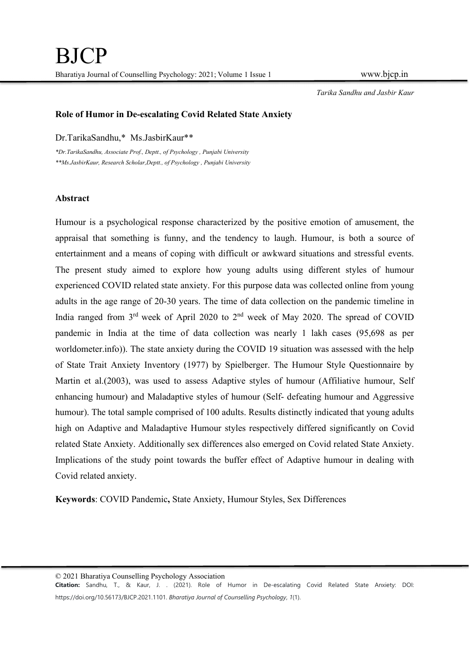## Role of Humor in De-escalating Covid Related State Anxiety

Dr.TarikaSandhu,\* Ms.JasbirKaur\*\*

\*Dr.TarikaSandhu, Associate Prof., Deptt., of Psychology , Punjabi University \*\*Ms.JasbirKaur, Research Scholar,Deptt., of Psychology , Punjabi University

## Abstract

Humour is a psychological response characterized by the positive emotion of amusement, the appraisal that something is funny, and the tendency to laugh. Humour, is both a source of entertainment and a means of coping with difficult or awkward situations and stressful events. The present study aimed to explore how young adults using different styles of humour experienced COVID related state anxiety. For this purpose data was collected online from young adults in the age range of 20-30 years. The time of data collection on the pandemic timeline in India ranged from  $3<sup>rd</sup>$  week of April 2020 to  $2<sup>nd</sup>$  week of May 2020. The spread of COVID pandemic in India at the time of data collection was nearly 1 lakh cases (95,698 as per worldometer.info)). The state anxiety during the COVID 19 situation was assessed with the help of State Trait Anxiety Inventory (1977) by Spielberger. The Humour Style Questionnaire by Martin et al.(2003), was used to assess Adaptive styles of humour (Affiliative humour, Self enhancing humour) and Maladaptive styles of humour (Self- defeating humour and Aggressive humour). The total sample comprised of 100 adults. Results distinctly indicated that young adults high on Adaptive and Maladaptive Humour styles respectively differed significantly on Covid related State Anxiety. Additionally sex differences also emerged on Covid related State Anxiety. Implications of the study point towards the buffer effect of Adaptive humour in dealing with Covid related anxiety.

Keywords: COVID Pandemic, State Anxiety, Humour Styles, Sex Differences

© 2021 Bharatiya Counselling Psychology Association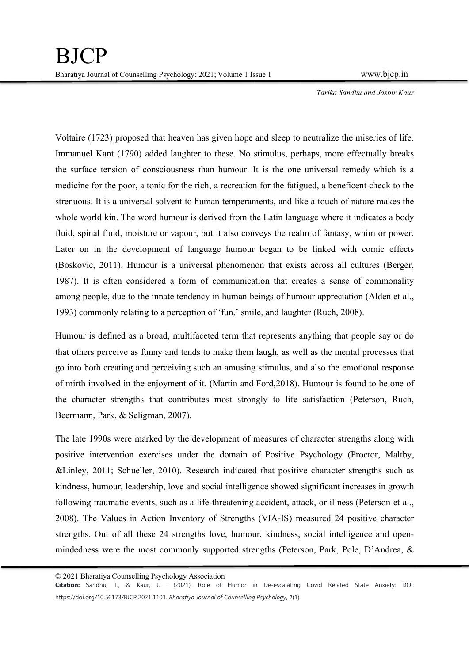Voltaire (1723) proposed that heaven has given hope and sleep to neutralize the miseries of life. Immanuel Kant (1790) added laughter to these. No stimulus, perhaps, more effectually breaks the surface tension of consciousness than humour. It is the one universal remedy which is a medicine for the poor, a tonic for the rich, a recreation for the fatigued, a beneficent check to the strenuous. It is a universal solvent to human temperaments, and like a touch of nature makes the whole world kin. The word humour is derived from the Latin language where it indicates a body fluid, spinal fluid, moisture or vapour, but it also conveys the realm of fantasy, whim or power. Later on in the development of language humour began to be linked with comic effects (Boskovic, 2011). Humour is a universal phenomenon that exists across all cultures (Berger, 1987). It is often considered a form of communication that creates a sense of commonality among people, due to the innate tendency in human beings of humour appreciation (Alden et al., 1993) commonly relating to a perception of 'fun,' smile, and laughter (Ruch, 2008).

Humour is defined as a broad, multifaceted term that represents anything that people say or do that others perceive as funny and tends to make them laugh, as well as the mental processes that go into both creating and perceiving such an amusing stimulus, and also the emotional response of mirth involved in the enjoyment of it. (Martin and Ford,2018). Humour is found to be one of the character strengths that contributes most strongly to life satisfaction (Peterson, Ruch, Beermann, Park, & Seligman, 2007).

The late 1990s were marked by the development of measures of character strengths along with positive intervention exercises under the domain of Positive Psychology (Proctor, Maltby, &Linley, 2011; Schueller, 2010). Research indicated that positive character strengths such as kindness, humour, leadership, love and social intelligence showed significant increases in growth following traumatic events, such as a life-threatening accident, attack, or illness (Peterson et al., 2008). The Values in Action Inventory of Strengths (VIA-IS) measured 24 positive character strengths. Out of all these 24 strengths love, humour, kindness, social intelligence and openmindedness were the most commonly supported strengths (Peterson, Park, Pole, D'Andrea, &

© 2021 Bharatiya Counselling Psychology Association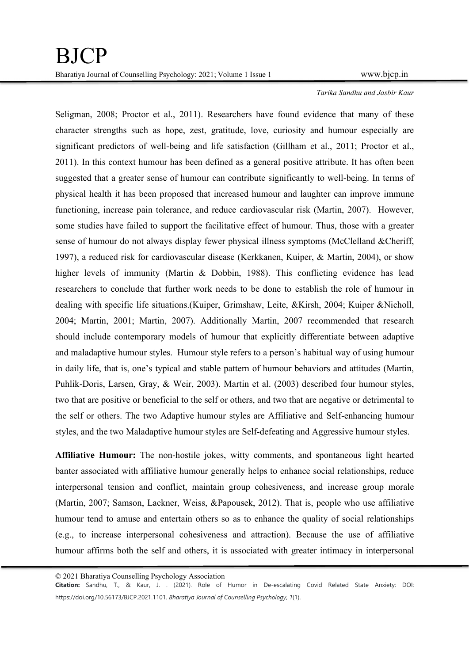Seligman, 2008; Proctor et al., 2011). Researchers have found evidence that many of these character strengths such as hope, zest, gratitude, love, curiosity and humour especially are significant predictors of well-being and life satisfaction (Gillham et al., 2011; Proctor et al., 2011). In this context humour has been defined as a general positive attribute. It has often been suggested that a greater sense of humour can contribute significantly to well-being. In terms of physical health it has been proposed that increased humour and laughter can improve immune functioning, increase pain tolerance, and reduce cardiovascular risk (Martin, 2007). However, some studies have failed to support the facilitative effect of humour. Thus, those with a greater sense of humour do not always display fewer physical illness symptoms (McClelland &Cheriff, 1997), a reduced risk for cardiovascular disease (Kerkkanen, Kuiper, & Martin, 2004), or show higher levels of immunity (Martin & Dobbin, 1988). This conflicting evidence has lead researchers to conclude that further work needs to be done to establish the role of humour in dealing with specific life situations.(Kuiper, Grimshaw, Leite, &Kirsh, 2004; Kuiper &Nicholl, 2004; Martin, 2001; Martin, 2007). Additionally Martin, 2007 recommended that research should include contemporary models of humour that explicitly differentiate between adaptive and maladaptive humour styles. Humour style refers to a person's habitual way of using humour in daily life, that is, one's typical and stable pattern of humour behaviors and attitudes (Martin, Puhlik-Doris, Larsen, Gray, & Weir, 2003). Martin et al. (2003) described four humour styles, two that are positive or beneficial to the self or others, and two that are negative or detrimental to the self or others. The two Adaptive humour styles are Affiliative and Self-enhancing humour styles, and the two Maladaptive humour styles are Self-defeating and Aggressive humour styles.

Affiliative Humour: The non-hostile jokes, witty comments, and spontaneous light hearted banter associated with affiliative humour generally helps to enhance social relationships, reduce interpersonal tension and conflict, maintain group cohesiveness, and increase group morale (Martin, 2007; Samson, Lackner, Weiss, &Papousek, 2012). That is, people who use affiliative humour tend to amuse and entertain others so as to enhance the quality of social relationships (e.g., to increase interpersonal cohesiveness and attraction). Because the use of affiliative humour affirms both the self and others, it is associated with greater intimacy in interpersonal

<sup>© 2021</sup> Bharatiya Counselling Psychology Association

Citation: Sandhu, T., & Kaur, J. . (2021). Role of Humor in De-escalating Covid Related State Anxiety: DOI: https://doi.org/10.56173/BJCP.2021.1101. Bharatiya Journal of Counselling Psychology, 1(1).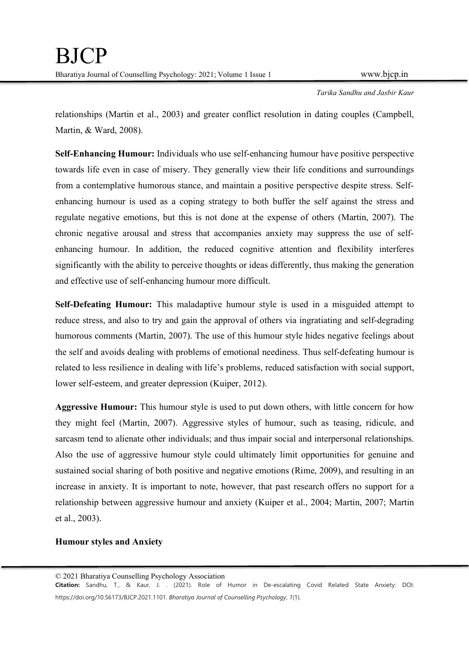relationships (Martin et al., 2003) and greater conflict resolution in dating couples (Campbell, Martin, & Ward, 2008).

Self-Enhancing Humour: Individuals who use self-enhancing humour have positive perspective towards life even in case of misery. They generally view their life conditions and surroundings from a contemplative humorous stance, and maintain a positive perspective despite stress. Selfenhancing humour is used as a coping strategy to both buffer the self against the stress and regulate negative emotions, but this is not done at the expense of others (Martin, 2007). The chronic negative arousal and stress that accompanies anxiety may suppress the use of selfenhancing humour. In addition, the reduced cognitive attention and flexibility interferes significantly with the ability to perceive thoughts or ideas differently, thus making the generation and effective use of self-enhancing humour more difficult.

Self-Defeating Humour: This maladaptive humour style is used in a misguided attempt to reduce stress, and also to try and gain the approval of others via ingratiating and self-degrading humorous comments (Martin, 2007). The use of this humour style hides negative feelings about the self and avoids dealing with problems of emotional neediness. Thus self-defeating humour is related to less resilience in dealing with life's problems, reduced satisfaction with social support, lower self-esteem, and greater depression (Kuiper, 2012).

Aggressive Humour: This humour style is used to put down others, with little concern for how they might feel (Martin, 2007). Aggressive styles of humour, such as teasing, ridicule, and sarcasm tend to alienate other individuals; and thus impair social and interpersonal relationships. Also the use of aggressive humour style could ultimately limit opportunities for genuine and sustained social sharing of both positive and negative emotions (Rime, 2009), and resulting in an increase in anxiety. It is important to note, however, that past research offers no support for a relationship between aggressive humour and anxiety (Kuiper et al., 2004; Martin, 2007; Martin et al., 2003).

## Humour styles and Anxiety

<sup>© 2021</sup> Bharatiya Counselling Psychology Association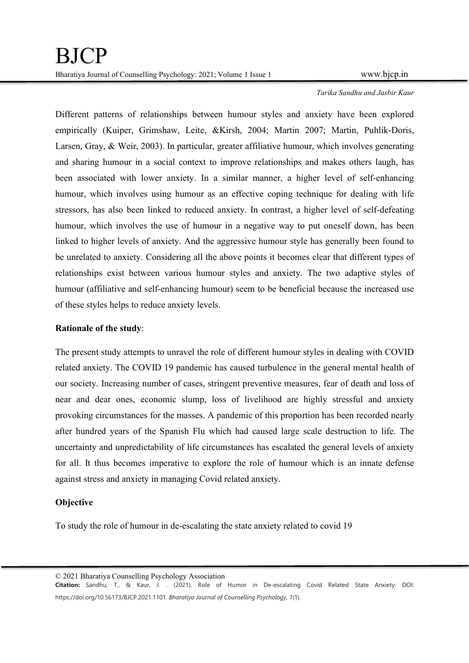Different patterns of relationships between humour styles and anxiety have been explored empirically (Kuiper, Grimshaw, Leite, &Kirsh, 2004; Martin 2007; Martin, Puhlik-Doris, Larsen, Gray, & Weir, 2003). In particular, greater affiliative humour, which involves generating and sharing humour in a social context to improve relationships and makes others laugh, has been associated with lower anxiety. In a similar manner, a higher level of self-enhancing humour, which involves using humour as an effective coping technique for dealing with life stressors, has also been linked to reduced anxiety. In contrast, a higher level of self-defeating humour, which involves the use of humour in a negative way to put oneself down, has been linked to higher levels of anxiety. And the aggressive humour style has generally been found to be unrelated to anxiety. Considering all the above points it becomes clear that different types of relationships exist between various humour styles and anxiety. The two adaptive styles of humour (affiliative and self-enhancing humour) seem to be beneficial because the increased use of these styles helps to reduce anxiety levels.

## Rationale of the study:

The present study attempts to unravel the role of different humour styles in dealing with COVID related anxiety. The COVID 19 pandemic has caused turbulence in the general mental health of our society. Increasing number of cases, stringent preventive measures, fear of death and loss of near and dear ones, economic slump, loss of livelihood are highly stressful and anxiety provoking circumstances for the masses. A pandemic of this proportion has been recorded nearly after hundred years of the Spanish Flu which had caused large scale destruction to life. The uncertainty and unpredictability of life circumstances has escalated the general levels of anxiety for all. It thus becomes imperative to explore the role of humour which is an innate defense against stress and anxiety in managing Covid related anxiety.

## **Objective**

To study the role of humour in de-escalating the state anxiety related to covid 19

© 2021 Bharatiya Counselling Psychology Association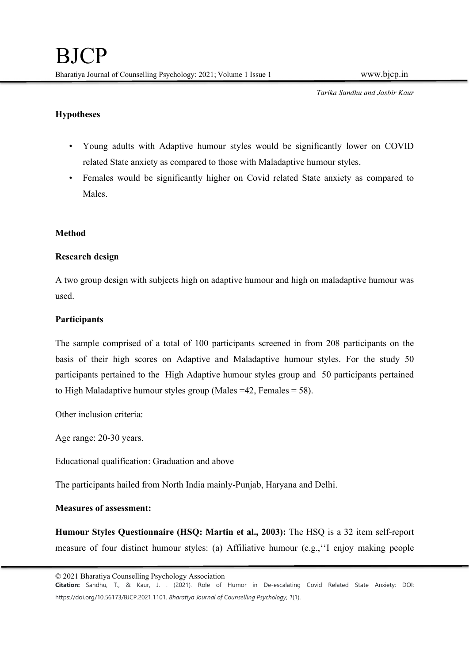# Hypotheses

- Young adults with Adaptive humour styles would be significantly lower on COVID
- related State anxiety as compared to those with Maladaptive humour styles. Females would be significantly higher on Covid related State anxiety as compared to Males.

# Method

# Research design

A two group design with subjects high on adaptive humour and high on maladaptive humour was used.

# Participants

The sample comprised of a total of 100 participants screened in from 208 participants on the basis of their high scores on Adaptive and Maladaptive humour styles. For the study 50 participants pertained to the High Adaptive humour styles group and 50 participants pertained to High Maladaptive humour styles group (Males  $=42$ , Females  $= 58$ ).

Other inclusion criteria:

Age range: 20-30 years.

Educational qualification: Graduation and above

The participants hailed from North India mainly-Punjab, Haryana and Delhi.

## Measures of assessment:

Humour Styles Questionnaire (HSQ: Martin et al., 2003): The HSQ is a 32 item self-report measure of four distinct humour styles: (a) Affiliative humour (e.g.,''I enjoy making people

<sup>© 2021</sup> Bharatiya Counselling Psychology Association

Citation: Sandhu, T., & Kaur, J. . (2021). Role of Humor in De-escalating Covid Related State Anxiety: DOI: https://doi.org/10.56173/BJCP.2021.1101. Bharatiya Journal of Counselling Psychology, 1(1).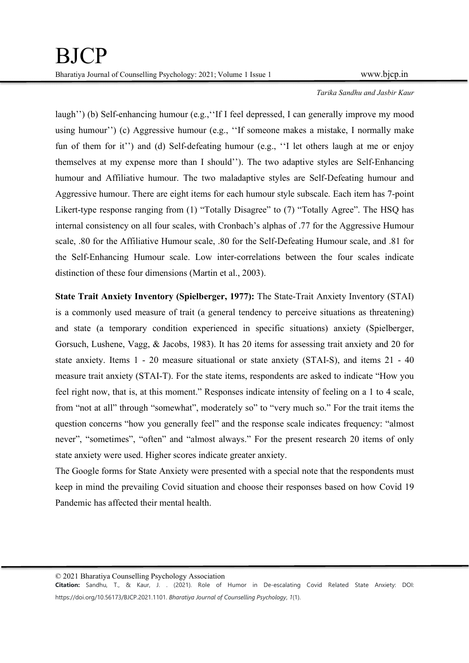laugh'') (b) Self-enhancing humour (e.g.,''If I feel depressed, I can generally improve my mood using humour'') (c) Aggressive humour (e.g., ''If someone makes a mistake, I normally make fun of them for it'') and (d) Self-defeating humour (e.g., ''I let others laugh at me or enjoy themselves at my expense more than I should''). The two adaptive styles are Self-Enhancing humour and Affiliative humour. The two maladaptive styles are Self-Defeating humour and Aggressive humour. There are eight items for each humour style subscale. Each item has 7-point Likert-type response ranging from (1) "Totally Disagree" to (7) "Totally Agree". The HSQ has internal consistency on all four scales, with Cronbach's alphas of .77 for the Aggressive Humour scale, .80 for the Affiliative Humour scale, .80 for the Self-Defeating Humour scale, and .81 for the Self-Enhancing Humour scale. Low inter-correlations between the four scales indicate distinction of these four dimensions (Martin et al., 2003).

State Trait Anxiety Inventory (Spielberger, 1977): The State-Trait Anxiety Inventory (STAI) is a commonly used measure of trait (a general tendency to perceive situations as threatening) and state (a temporary condition experienced in specific situations) anxiety (Spielberger, Gorsuch, Lushene, Vagg, & Jacobs, 1983). It has 20 items for assessing trait anxiety and 20 for state anxiety. Items 1 - 20 measure situational or state anxiety (STAI-S), and items 21 - 40 measure trait anxiety (STAI-T). For the state items, respondents are asked to indicate "How you feel right now, that is, at this moment." Responses indicate intensity of feeling on a 1 to 4 scale, from "not at all" through "somewhat", moderately so" to "very much so." For the trait items the question concerns "how you generally feel" and the response scale indicates frequency: "almost never", "sometimes", "often" and "almost always." For the present research 20 items of only state anxiety were used. Higher scores indicate greater anxiety.

The Google forms for State Anxiety were presented with a special note that the respondents must keep in mind the prevailing Covid situation and choose their responses based on how Covid 19 Pandemic has affected their mental health.

© 2021 Bharatiya Counselling Psychology Association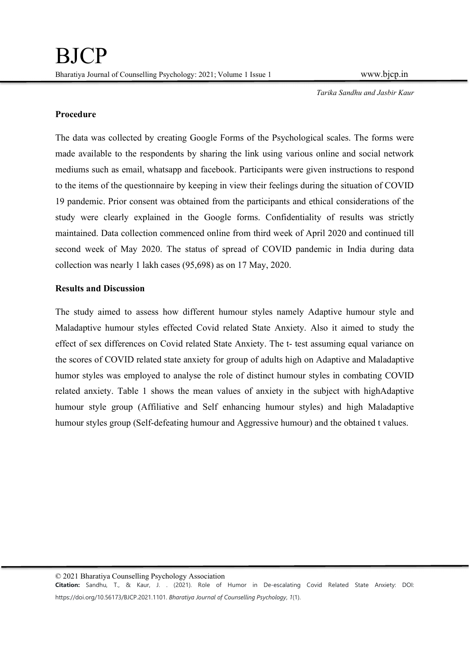## Procedure

The data was collected by creating Google Forms of the Psychological scales. The forms were made available to the respondents by sharing the link using various online and social network mediums such as email, whatsapp and facebook. Participants were given instructions to respond to the items of the questionnaire by keeping in view their feelings during the situation of COVID 19 pandemic. Prior consent was obtained from the participants and ethical considerations of the study were clearly explained in the Google forms. Confidentiality of results was strictly maintained. Data collection commenced online from third week of April 2020 and continued till second week of May 2020. The status of spread of COVID pandemic in India during data collection was nearly 1 lakh cases (95,698) as on 17 May, 2020.

# Results and Discussion

The study aimed to assess how different humour styles namely Adaptive humour style and Maladaptive humour styles effected Covid related State Anxiety. Also it aimed to study the effect of sex differences on Covid related State Anxiety. The t- test assuming equal variance on the scores of COVID related state anxiety for group of adults high on Adaptive and Maladaptive humor styles was employed to analyse the role of distinct humour styles in combating COVID related anxiety. Table 1 shows the mean values of anxiety in the subject with highAdaptive humour style group (Affiliative and Self enhancing humour styles) and high Maladaptive humour styles group (Self-defeating humour and Aggressive humour) and the obtained t values.

© 2021 Bharatiya Counselling Psychology Association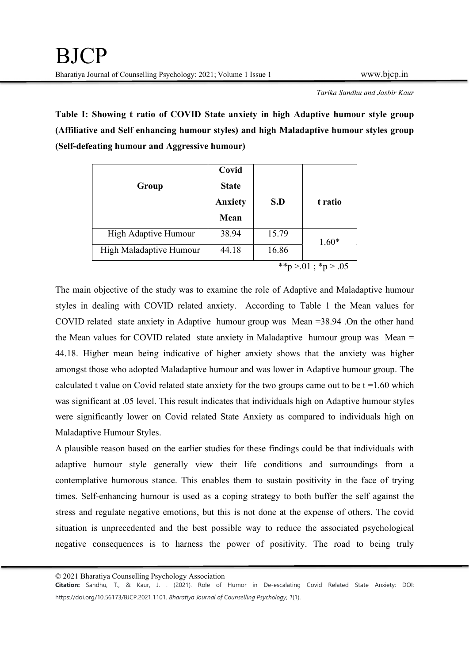Table I: Showing t ratio of COVID State anxiety in high Adaptive humour style group (Affiliative and Self enhancing humour styles) and high Maladaptive humour styles group (Self-defeating humour and Aggressive humour)

| Group                   | Covid<br><b>State</b><br>Anxiety<br>Mean | S.D   | t ratio         |
|-------------------------|------------------------------------------|-------|-----------------|
| High Adaptive Humour    | 38.94                                    | 15.79 | $1.60*$         |
| High Maladaptive Humour | 44.18                                    | 16.86 |                 |
|                         |                                          |       | **p>.01; *p>.05 |

The main objective of the study was to examine the role of Adaptive and Maladaptive humour styles in dealing with COVID related anxiety. According to Table 1 the Mean values for COVID related state anxiety in Adaptive humour group was Mean =38.94 .On the other hand the Mean values for COVID related state anxiety in Maladaptive humour group was Mean = 44.18. Higher mean being indicative of higher anxiety shows that the anxiety was higher amongst those who adopted Maladaptive humour and was lower in Adaptive humour group. The calculated t value on Covid related state anxiety for the two groups came out to be  $t = 1.60$  which was significant at .05 level. This result indicates that individuals high on Adaptive humour styles were significantly lower on Covid related State Anxiety as compared to individuals high on Maladaptive Humour Styles.

A plausible reason based on the earlier studies for these findings could be that individuals with adaptive humour style generally view their life conditions and surroundings from a contemplative humorous stance. This enables them to sustain positivity in the face of trying times. Self-enhancing humour is used as a coping strategy to both buffer the self against the stress and regulate negative emotions, but this is not done at the expense of others. The covid situation is unprecedented and the best possible way to reduce the associated psychological negative consequences is to harness the power of positivity. The road to being truly

<sup>© 2021</sup> Bharatiya Counselling Psychology Association

Citation: Sandhu, T., & Kaur, J. . (2021). Role of Humor in De-escalating Covid Related State Anxiety: DOI: https://doi.org/10.56173/BJCP.2021.1101. Bharatiya Journal of Counselling Psychology, 1(1).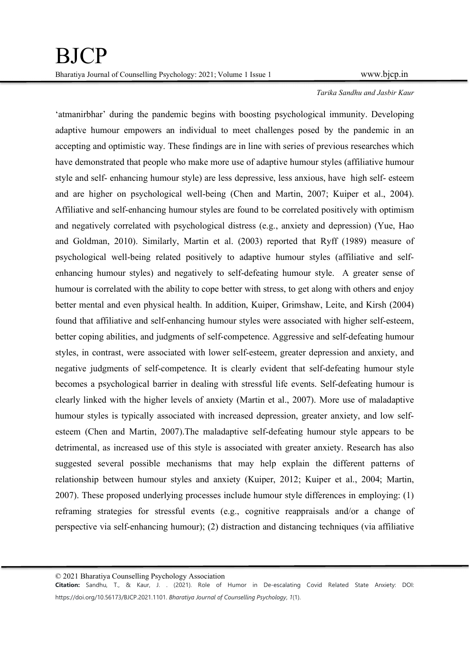'atmanirbhar' during the pandemic begins with boosting psychological immunity. Developing adaptive humour empowers an individual to meet challenges posed by the pandemic in an accepting and optimistic way. These findings are in line with series of previous researches which have demonstrated that people who make more use of adaptive humour styles (affiliative humour style and self- enhancing humour style) are less depressive, less anxious, have high self- esteem and are higher on psychological well-being (Chen and Martin, 2007; Kuiper et al., 2004). Affiliative and self-enhancing humour styles are found to be correlated positively with optimism and negatively correlated with psychological distress (e.g., anxiety and depression) (Yue, Hao and Goldman, 2010). Similarly, Martin et al. (2003) reported that Ryff (1989) measure of psychological well-being related positively to adaptive humour styles (affiliative and selfenhancing humour styles) and negatively to self-defeating humour style. A greater sense of humour is correlated with the ability to cope better with stress, to get along with others and enjoy better mental and even physical health. In addition, Kuiper, Grimshaw, Leite, and Kirsh (2004) found that affiliative and self-enhancing humour styles were associated with higher self-esteem, better coping abilities, and judgments of self-competence. Aggressive and self-defeating humour styles, in contrast, were associated with lower self-esteem, greater depression and anxiety, and negative judgments of self-competence. It is clearly evident that self-defeating humour style becomes a psychological barrier in dealing with stressful life events. Self-defeating humour is clearly linked with the higher levels of anxiety (Martin et al., 2007). More use of maladaptive humour styles is typically associated with increased depression, greater anxiety, and low selfesteem (Chen and Martin, 2007).The maladaptive self-defeating humour style appears to be detrimental, as increased use of this style is associated with greater anxiety. Research has also suggested several possible mechanisms that may help explain the different patterns of relationship between humour styles and anxiety (Kuiper, 2012; Kuiper et al., 2004; Martin, 2007). These proposed underlying processes include humour style differences in employing: (1) reframing strategies for stressful events (e.g., cognitive reappraisals and/or a change of perspective via self-enhancing humour); (2) distraction and distancing techniques (via affiliative

© 2021 Bharatiya Counselling Psychology Association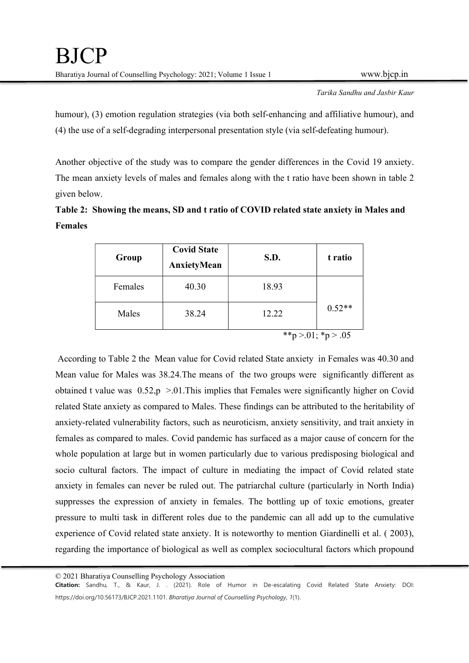humour), (3) emotion regulation strategies (via both self-enhancing and affiliative humour), and (4) the use of a self-degrading interpersonal presentation style (via self-defeating humour).

Another objective of the study was to compare the gender differences in the Covid 19 anxiety. The mean anxiety levels of males and females along with the t ratio have been shown in table 2 given below.

| Table 2: Showing the means, SD and t ratio of COVID related state anxiety in Males and |  |
|----------------------------------------------------------------------------------------|--|
| <b>Females</b>                                                                         |  |

| Group   | <b>Covid State</b><br>AnxietyMean | S.D.  | t ratio         |
|---------|-----------------------------------|-------|-----------------|
| Females | 40.30                             | 18.93 |                 |
| Males   | 38.24                             | 12.22 | $0.52**$        |
|         |                                   |       | **p>.01; *p>.05 |

 According to Table 2 the Mean value for Covid related State anxiety in Females was 40.30 and Mean value for Males was 38.24.The means of the two groups were significantly different as obtained t value was  $0.52$ ,  $p > 0.01$ . This implies that Females were significantly higher on Covid related State anxiety as compared to Males. These findings can be attributed to the heritability of anxiety-related vulnerability factors, such as neuroticism, anxiety sensitivity, and trait anxiety in females as compared to males. Covid pandemic has surfaced as a major cause of concern for the whole population at large but in women particularly due to various predisposing biological and socio cultural factors. The impact of culture in mediating the impact of Covid related state anxiety in females can never be ruled out. The patriarchal culture (particularly in North India) suppresses the expression of anxiety in females. The bottling up of toxic emotions, greater pressure to multi task in different roles due to the pandemic can all add up to the cumulative experience of Covid related state anxiety. It is noteworthy to mention Giardinelli et al. ( 2003), regarding the importance of biological as well as complex sociocultural factors which propound

© 2021 Bharatiya Counselling Psychology Association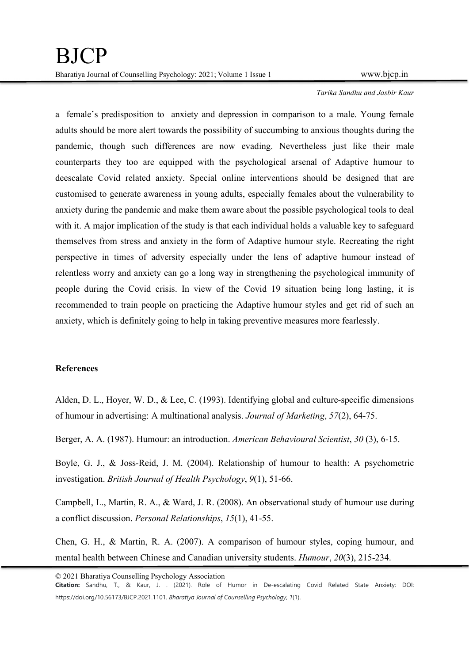a female's predisposition to anxiety and depression in comparison to a male. Young female adults should be more alert towards the possibility of succumbing to anxious thoughts during the pandemic, though such differences are now evading. Nevertheless just like their male counterparts they too are equipped with the psychological arsenal of Adaptive humour to deescalate Covid related anxiety. Special online interventions should be designed that are customised to generate awareness in young adults, especially females about the vulnerability to anxiety during the pandemic and make them aware about the possible psychological tools to deal with it. A major implication of the study is that each individual holds a valuable key to safeguard themselves from stress and anxiety in the form of Adaptive humour style. Recreating the right perspective in times of adversity especially under the lens of adaptive humour instead of relentless worry and anxiety can go a long way in strengthening the psychological immunity of people during the Covid crisis. In view of the Covid 19 situation being long lasting, it is recommended to train people on practicing the Adaptive humour styles and get rid of such an anxiety, which is definitely going to help in taking preventive measures more fearlessly.

## References

Alden, D. L., Hoyer, W. D., & Lee, C. (1993). Identifying global and culture-specific dimensions of humour in advertising: A multinational analysis. Journal of Marketing, 57(2), 64-75.

Berger, A. A. (1987). Humour: an introduction. American Behavioural Scientist, 30 (3), 6-15.

Boyle, G. J., & Joss-Reid, J. M. (2004). Relationship of humour to health: A psychometric investigation. British Journal of Health Psychology, 9(1), 51-66.

Campbell, L., Martin, R. A., & Ward, J. R. (2008). An observational study of humour use during a conflict discussion. Personal Relationships, 15(1), 41-55.

Chen, G. H., & Martin, R. A. (2007). A comparison of humour styles, coping humour, and mental health between Chinese and Canadian university students. Humour, 20(3), 215-234.

© 2021 Bharatiya Counselling Psychology Association

Citation: Sandhu, T., & Kaur, J. . (2021). Role of Humor in De-escalating Covid Related State Anxiety: DOI: https://doi.org/10.56173/BJCP.2021.1101. Bharativa Journal of Counselling Psychology, 1(1).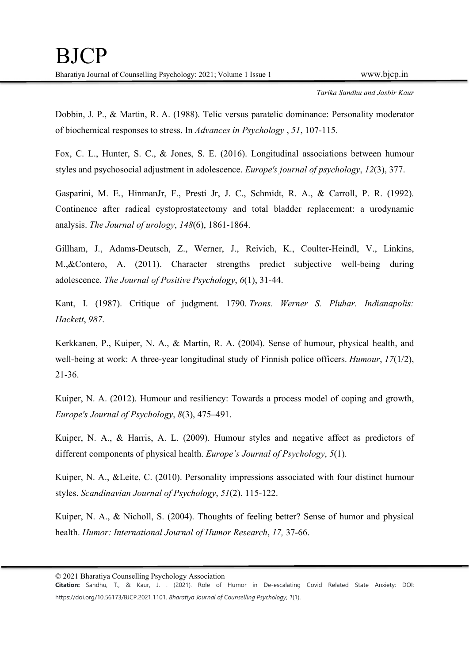Dobbin, J. P., & Martin, R. A. (1988). Telic versus paratelic dominance: Personality moderator of biochemical responses to stress. In Advances in Psychology , 51, 107-115.

Fox, C. L., Hunter, S. C., & Jones, S. E. (2016). Longitudinal associations between humour styles and psychosocial adjustment in adolescence. Europe's journal of psychology, 12(3), 377.

Gasparini, M. E., HinmanJr, F., Presti Jr, J. C., Schmidt, R. A., & Carroll, P. R. (1992). Continence after radical cystoprostatectomy and total bladder replacement: a urodynamic analysis. The Journal of urology, 148(6), 1861-1864.

Gillham, J., Adams-Deutsch, Z., Werner, J., Reivich, K., Coulter-Heindl, V., Linkins, M.,&Contero, A. (2011). Character strengths predict subjective well-being during adolescence. The Journal of Positive Psychology, 6(1), 31-44.

Kant, I. (1987). Critique of judgment. 1790. Trans. Werner S. Pluhar. Indianapolis:

Hackett, 987.<br>Kerkkanen, P., Kuiper, N. A., & Martin, R. A. (2004). Sense of humour, physical health, and well-being at work: A three-year longitudinal study of Finnish police officers. *Humour*, 17(1/2), 21-36.

Kuiper, N. A. (2012). Humour and resiliency: Towards a process model of coping and growth, Europe's Journal of Psychology, 8(3), 475–491.

Kuiper, N. A., & Harris, A. L. (2009). Humour styles and negative affect as predictors of different components of physical health. *Europe's Journal of Psychology*, 5(1).

Kuiper, N. A., &Leite, C. (2010). Personality impressions associated with four distinct humour styles. Scandinavian Journal of Psychology, 51(2), 115-122.

Kuiper, N. A., & Nicholl, S. (2004). Thoughts of feeling better? Sense of humor and physical health. Humor: International Journal of Humor Research, 17, 37-66.

<sup>© 2021</sup> Bharatiya Counselling Psychology Association

Citation: Sandhu, T., & Kaur, J. . (2021). Role of Humor in De-escalating Covid Related State Anxiety: DOI: https://doi.org/10.56173/BJCP.2021.1101. Bharativa Journal of Counselling Psychology, 1(1).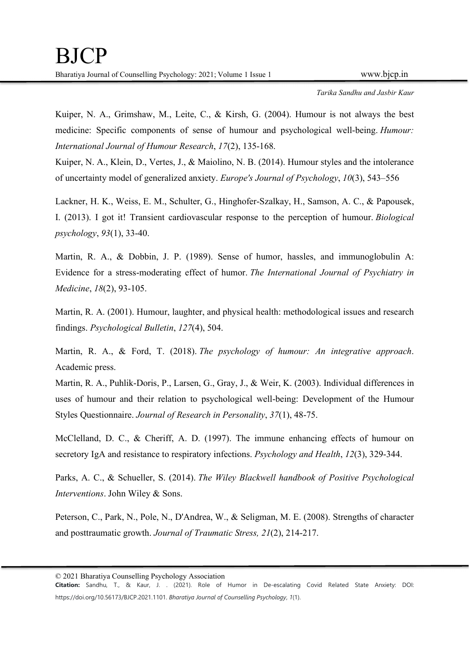Kuiper, N. A., Grimshaw, M., Leite, C., & Kirsh, G. (2004). Humour is not always the best medicine: Specific components of sense of humour and psychological well-being. Humour: International Journal of Humour Research, 17(2), 135-168.

Kuiper, N. A., Klein, D., Vertes, J., & Maiolino, N. B. (2014). Humour styles and the intolerance of uncertainty model of generalized anxiety. Europe's Journal of Psychology, 10(3), 543–556

Lackner, H. K., Weiss, E. M., Schulter, G., Hinghofer-Szalkay, H., Samson, A. C., & Papousek, I. (2013). I got it! Transient cardiovascular response to the perception of humour. Biological psychology, 93(1), 33-40.

Martin, R. A., & Dobbin, J. P. (1989). Sense of humor, hassles, and immunoglobulin A: Evidence for a stress-moderating effect of humor. The International Journal of Psychiatry in Medicine, 18(2), 93-105.

Martin, R. A. (2001). Humour, laughter, and physical health: methodological issues and research findings. Psychological Bulletin, 127(4), 504.

Martin, R. A., & Ford, T. (2018). The psychology of humour: An integrative approach.<br>Academic press.

Martin, R. A., Puhlik-Doris, P., Larsen, G., Gray, J., & Weir, K. (2003). Individual differences in uses of humour and their relation to psychological well-being: Development of the Humour Styles Questionnaire. Journal of Research in Personality, 37(1), 48-75.

McClelland, D. C., & Cheriff, A. D. (1997). The immune enhancing effects of humour on secretory IgA and resistance to respiratory infections. Psychology and Health, 12(3), 329-344.

Parks, A. C., & Schueller, S. (2014). The Wiley Blackwell handbook of Positive Psychological Interventions. John Wiley & Sons.

Peterson, C., Park, N., Pole, N., D'Andrea, W., & Seligman, M. E. (2008). Strengths of character and posttraumatic growth. Journal of Traumatic Stress, 21(2), 214-217.

<sup>© 2021</sup> Bharatiya Counselling Psychology Association

Citation: Sandhu, T., & Kaur, J. . (2021). Role of Humor in De-escalating Covid Related State Anxiety: DOI: https://doi.org/10.56173/BJCP.2021.1101. Bharativa Journal of Counselling Psychology, 1(1).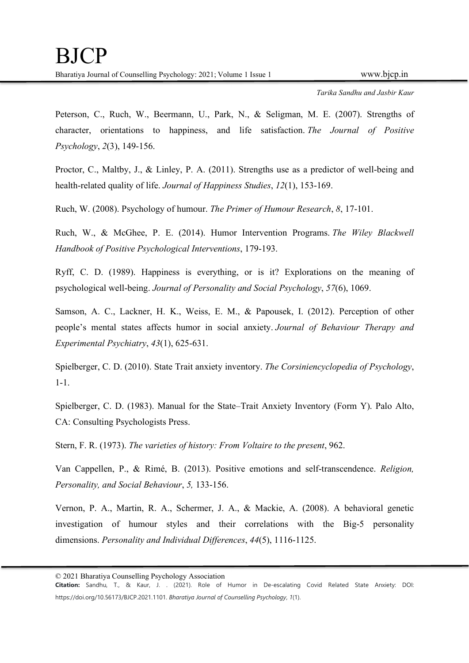Peterson, C., Ruch, W., Beermann, U., Park, N., & Seligman, M. E. (2007). Strengths of character, orientations to happiness, and life satisfaction. The Journal of Positive Psychology, 2(3), 149-156.

Proctor, C., Maltby, J., & Linley, P. A. (2011). Strengths use as a predictor of well-being and health-related quality of life. Journal of Happiness Studies, 12(1), 153-169.

Ruch, W. (2008). Psychology of humour. The Primer of Humour Research, 8, 17-101.

Ruch, W., & McGhee, P. E. (2014). Humor Intervention Programs. The Wiley Blackwell Handbook of Positive Psychological Interventions, 179-193.

Ryff, C. D. (1989). Happiness is everything, or is it? Explorations on the meaning of psychological well-being. Journal of Personality and Social Psychology, 57(6), 1069.

Samson, A. C., Lackner, H. K., Weiss, E. M., & Papousek, I. (2012). Perception of other people's mental states affects humor in social anxiety. Journal of Behaviour Therapy and Experimental Psychiatry, 43(1), 625-631.

Spielberger, C. D. (2010). State Trait anxiety inventory. The Corsiniencyclopedia of Psychology, 1-1.

Spielberger, C. D. (1983). Manual for the State–Trait Anxiety Inventory (Form Y). Palo Alto, CA: Consulting Psychologists Press.

Stern, F. R. (1973). The varieties of history: From Voltaire to the present, 962.

Van Cappellen, P., & Rimé, B. (2013). Positive emotions and self-transcendence. Religion, Personality, and Social Behaviour, 5, 133-156.

Vernon, P. A., Martin, R. A., Schermer, J. A., & Mackie, A. (2008). A behavioral genetic investigation of humour styles and their correlations with the Big-5 personality dimensions. Personality and Individual Differences, 44(5), 1116-1125.

<sup>© 2021</sup> Bharatiya Counselling Psychology Association

Citation: Sandhu, T., & Kaur, J. . (2021). Role of Humor in De-escalating Covid Related State Anxiety: DOI: https://doi.org/10.56173/BJCP.2021.1101. Bharativa Journal of Counselling Psychology, 1(1).